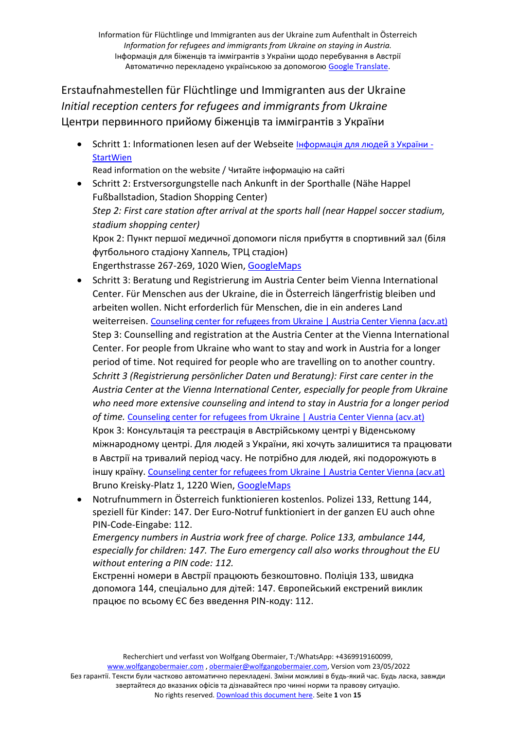Erstaufnahmestellen für Flüchtlinge und Immigranten aus der Ukraine *Initial reception centers for refugees and immigrants from Ukraine* Центри первинного прийому біженців та іммігрантів з України

• Schritt 1: Informationen lesen auf der Webseite [Інформація для людей з України](https://start.wien.gv.at/ukraine) -**[StartWien](https://start.wien.gv.at/ukraine)** 

Read information on the website / Читайте інформацію на сайті

- Schritt 2: Erstversorgungstelle nach Ankunft in der Sporthalle (Nähe Happel Fußballstadion, Stadion Shopping Center) *Step 2: First care station after arrival at the sports hall (near Happel soccer stadium, stadium shopping center)* Крок 2: Пункт першої медичної допомоги після прибуття в спортивний зал (біля футбольного стадіону Хаппель, ТРЦ стадіон) Engerthstrasse 267-269, 1020 Wien, [GoogleMaps](https://goo.gl/maps/kb7rwTrjVV4X8SgeA)
- Schritt 3: Beratung und Registrierung im Austria Center beim Vienna International Center. Für Menschen aus der Ukraine, die in Österreich längerfristig bleiben und arbeiten wollen. Nicht erforderlich für Menschen, die in ein anderes Land weiterreisen. [Counseling center for refugees from Ukraine | Austria Center Vienna \(acv.at\)](https://www.acv.at/en/visit/events/counseling-center-for-refugees-from-ukraine/) Step 3: Counselling and registration at the Austria Center at the Vienna International Center. For people from Ukraine who want to stay and work in Austria for a longer period of time. Not required for people who are travelling on to another country. *Schritt 3 (Registrierung persönlicher Daten und Beratung): First care center in the Austria Center at the Vienna International Center, especially for people from Ukraine who need more extensive counseling and intend to stay in Austria for a longer period of time.* [Counseling center for refugees from Ukraine | Austria Center Vienna \(acv.at\)](https://www.acv.at/en/visit/events/counseling-center-for-refugees-from-ukraine/) Крок 3: Консультація та реєстрація в Австрійському центрі у Віденському міжнародному центрі. Для людей з України, які хочуть залишитися та працювати в Австрії на тривалий період часу. Не потрібно для людей, які подорожують в іншу країну. [Counseling center for refugees from Ukraine | Austria Center Vienna \(acv.at\)](https://www.acv.at/en/visit/events/counseling-center-for-refugees-from-ukraine/) Bruno Kreisky-Platz 1, 1220 Wien, [GoogleMaps](https://g.page/austriacenterviennaofficial?share)
- Notrufnummern in Österreich funktionieren kostenlos. Polizei 133, Rettung 144, speziell für Kinder: 147. Der Euro-Notruf funktioniert in der ganzen EU auch ohne PIN-Code-Eingabe: 112.

*Emergency numbers in Austria work free of charge. Police 133, ambulance 144, especially for children: 147. The Euro emergency call also works throughout the EU without entering a PIN code: 112.*

Екстренні номери в Австрії працюють безкоштовно. Поліція 133, швидка допомога 144, спеціально для дітей: 147. Європейський екстрений виклик працює по всьому ЄС без введення PIN-коду: 112.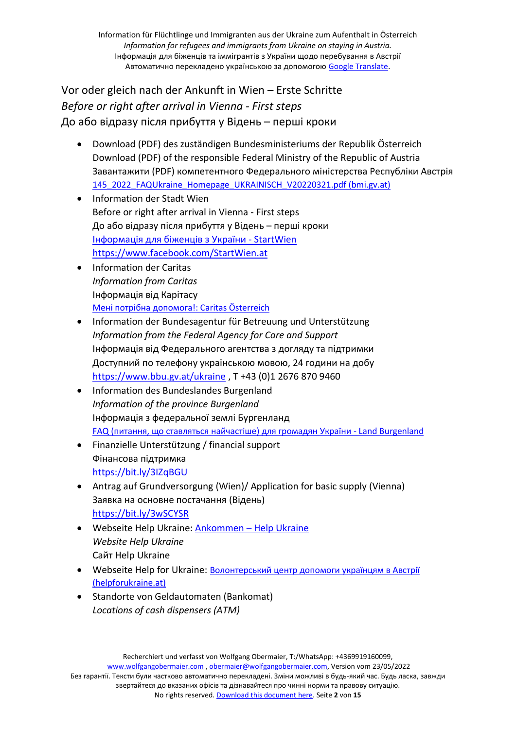Vor oder gleich nach der Ankunft in Wien – Erste Schritte *Before or right after arrival in Vienna - First steps* До або відразу після прибуття у Відень – перші кроки

- Download (PDF) des zuständigen Bundesministeriums der Republik Österreich Download (PDF) of the responsible Federal Ministry of the Republic of Austria Завантажити (PDF) компетентного Федерального міністерства Республіки Австрія [145\\_2022\\_FAQUkraine\\_Homepage\\_UKRAINISCH\\_V20220321.pdf \(bmi.gv.at\)](https://www.bmi.gv.at/ukraine/files/145_2022_FAQUkraine_Homepage_UKRAINISCH_V20220321.pdf?fbclid=IwAR1ts-1bskqH7dkHFJZgZx85Ifd_0VzZ7MjLOFgDjm_rJGZ4tzcjGrwgdWQ)
- Information der Stadt Wien Before or right after arrival in Vienna - First steps До або відразу після прибуття у Відень – перші кроки [Інформація](https://start.wien.gv.at/ukraine) для біженців з України - StartWien <https://www.facebook.com/StartWien.at>
- Information der Caritas *Information from Caritas* Інформація від Карітасу Мені потрібна допомога[!: Caritas Österreich](https://www.caritas.at/spenden-helfen/auslandshilfe/katastrophenhilfe/laender-brennpunkte/ukraine/ua-ich-brauche-hilfe)
- Information der Bundesagentur für Betreuung und Unterstützung *Information from the Federal Agency for Care and Support* Інформація від Федерального агентства з догляду та підтримки Доступний по телефону українською мовою, 24 години на добу <https://www.bbu.gv.at/ukraine> , T +43 (0)1 2676 870 9460
- Information des Bundeslandes Burgenland *Information of the province Burgenland* Інформація з федеральної землі Бургенланд FAQ (питання, що ставляться найчастіше) для громадян України - [Land Burgenland](https://www.burgenland.at/politik/burgenland-hilft/burgenland-hilft-ukrainisch/faq/)
- Finanzielle Unterstützung / financial support Фінансова підтримка <https://bit.ly/3IZqBGU>
- Antrag auf Grundversorgung (Wien)/ Application for basic supply (Vienna) Заявка на основне постачання (Відень) <https://bit.ly/3wSCYSR>
- Webseite [Help Ukraine](https://www.helpukraine.at/ankommen/?fbclid=IwAR2RJT-WreJ47h_E4ibv1m9sH0QPyliTApzx01a0clnAQlhZais5N8Zk17c): **Ankommen Help Ukraine** *Website Help Ukraine* Сайт Help Ukraine
- Webseite Help for Ukraine: [Волонтерський](https://helpforukraine.at/) центр допомоги українцям в Австрії [\(helpforukraine.at\)](https://helpforukraine.at/)
- Standorte von Geldautomaten (Bankomat) *Locations of cash dispensers (ATM)*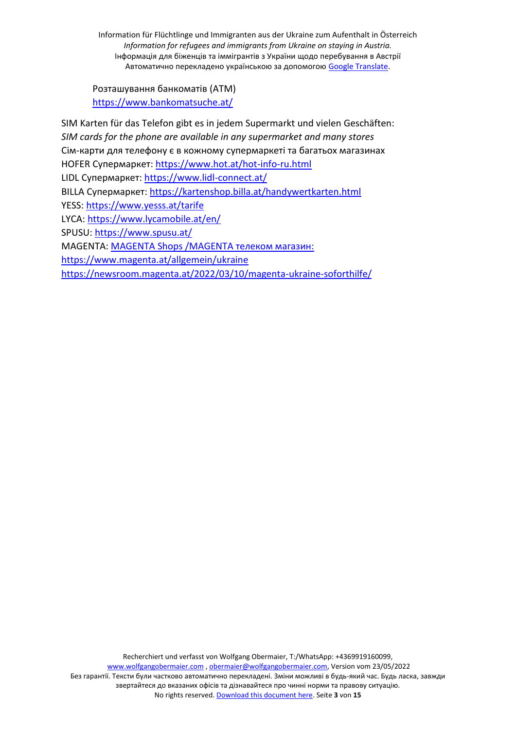Розташування банкоматів (АТМ) <https://www.bankomatsuche.at/>

SIM Karten für das Telefon gibt es in jedem Supermarkt und vielen Geschäften: *SIM cards for the phone are available in any supermarket and many stores* Сім-карти для телефону є в кожному супермаркеті та багатьох магазинах HOFER Супермаркет: <https://www.hot.at/hot-info-ru.html> LIDL Супермаркет: <https://www.lidl-connect.at/> BILLA Супермаркет: <https://kartenshop.billa.at/handywertkarten.html> YESS:<https://www.yesss.at/tarife> LYCA:<https://www.lycamobile.at/en/> SPUSU:<https://www.spusu.at/> MAGENTA: [MAGENTA Shops /MAGENTA телеком магазин:](https://goo.gl/maps/hfyda8uwTRv8EYM19) <https://www.magenta.at/allgemein/ukraine> <https://newsroom.magenta.at/2022/03/10/magenta-ukraine-soforthilfe/>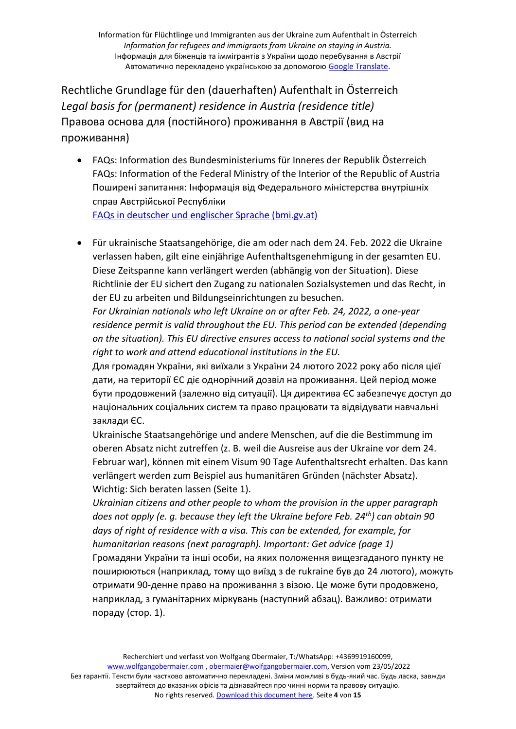Rechtliche Grundlage für den (dauerhaften) Aufenthalt in Österreich *Legal basis for (permanent) residence in Austria (residence title)* Правова основа для (постійного) проживання в Австрії (вид на проживання)

- FAQs: Information des Bundesministeriums für Inneres der Republik Österreich FAQs: Information of the Federal Ministry of the Interior of the Republic of Austria Поширені запитання: Інформація від Федерального міністерства внутрішніх справ Австрійської Республіки [FAQs in deutscher und englischer Sprache \(bmi.gv.at\)](https://www.bmi.gv.at/bmi_documents/2740.pdf?fbclid=IwAR0GmZ0DmIgrLvDlVMQ4AehOpYzd52KknpcM_1DJAfEpRpM_gVSruWr5T94)
- Für ukrainische Staatsangehörige, die am oder nach dem 24. Feb. 2022 die Ukraine verlassen haben, gilt eine einjährige Aufenthaltsgenehmigung in der gesamten EU. Diese Zeitspanne kann verlängert werden (abhängig von der Situation). Diese Richtlinie der EU sichert den Zugang zu nationalen Sozialsystemen und das Recht, in der EU zu arbeiten und Bildungseinrichtungen zu besuchen.

*For Ukrainian nationals who left Ukraine on or after Feb. 24, 2022, a one-year residence permit is valid throughout the EU. This period can be extended (depending on the situation). This EU directive ensures access to national social systems and the right to work and attend educational institutions in the EU.*

Для громадян України, які виїхали з України 24 лютого 2022 року або після цієї дати, на території ЄС діє однорічний дозвіл на проживання. Цей період може бути продовжений (залежно від ситуації). Ця директива ЄС забезпечує доступ до національних соціальних систем та право працювати та відвідувати навчальні заклади ЄС.

Ukrainische Staatsangehörige und andere Menschen, auf die die Bestimmung im oberen Absatz nicht zutreffen (z. B. weil die Ausreise aus der Ukraine vor dem 24. Februar war), können mit einem Visum 90 Tage Aufenthaltsrecht erhalten. Das kann verlängert werden zum Beispiel aus humanitären Gründen (nächster Absatz). Wichtig: Sich beraten lassen (Seite 1).

*Ukrainian citizens and other people to whom the provision in the upper paragraph does not apply (e. g. because they left the Ukraine before Feb. 24th) can obtain 90 days of right of residence with a visa. This can be extended, for example, for humanitarian reasons (next paragraph). Important: Get advice (page 1)*

Громадяни України та інші особи, на яких положення вищезгаданого пункту не поширюються (наприклад, тому що виїзд з de rukraine був до 24 лютого), можуть отримати 90-денне право на проживання з візою. Це може бути продовжено, наприклад, з гуманітарних міркувань (наступний абзац). Важливо: отримати пораду (стор. 1).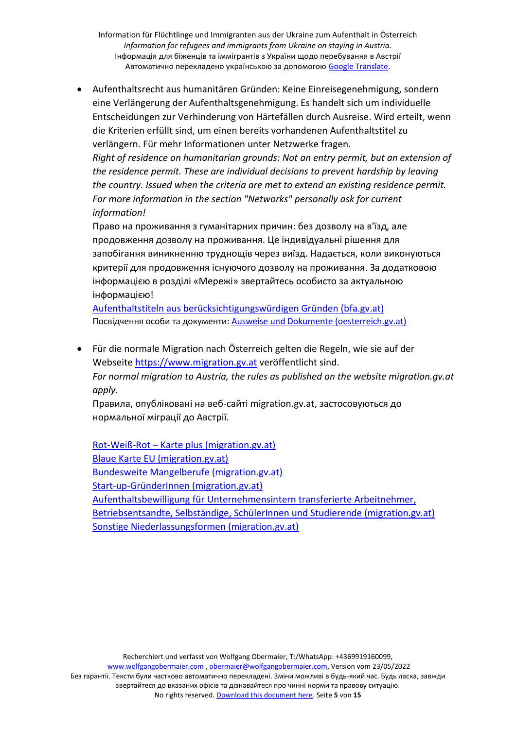• Aufenthaltsrecht aus humanitären Gründen: Keine Einreisegenehmigung, sondern eine Verlängerung der Aufenthaltsgenehmigung. Es handelt sich um individuelle Entscheidungen zur Verhinderung von Härtefällen durch Ausreise. Wird erteilt, wenn die Kriterien erfüllt sind, um einen bereits vorhandenen Aufenthaltstitel zu verlängern. Für mehr Informationen unter Netzwerke fragen.

*Right of residence on humanitarian grounds: Not an entry permit, but an extension of the residence permit. These are individual decisions to prevent hardship by leaving the country. Issued when the criteria are met to extend an existing residence permit. For more information in the section "Networks" personally ask for current information!*

Право на проживання з гуманітарних причин: без дозволу на в'їзд, але продовження дозволу на проживання. Це індивідуальні рішення для запобігання виникненню труднощів через виїзд. Надається, коли виконуються критерії для продовження існуючого дозволу на проживання. За додатковою інформацією в розділі «Мережі» звертайтесь особисто за актуальною інформацією!

[Aufenthaltstiteln aus berücksichtigungswürdigen Gründen \(bfa.gv.at\)](https://www.bfa.gv.at/201/Aufenthaltstiteln_aus_beruecksichtigungswuerdigen_Gruenden/start.aspx) Посвідчення особи та документи: [Ausweise und Dokumente \(oesterreich.gv.at\)](https://www.oesterreich.gv.at/themen/leben_in_oesterreich/asyl/Seite.3210004.html)

• Für die normale Migration nach Österreich gelten die Regeln, wie sie auf der Webseite [https://www.migration.gv.at](https://www.migration.gv.at/) veröffentlicht sind. *For normal migration to Austria, the rules as published on the website migration.gv.at apply.*

Правила, опубліковані на веб-сайті migration.gv.at, застосовуються до нормальної міграції до Австрії.

Rot-Weiß-Rot – [Karte plus \(migration.gv.at\)](https://www.migration.gv.at/de/formen-der-zuwanderung/dauerhafte-zuwanderung/rotweirotkarteplus/) [Blaue Karte EU \(migration.gv.at\)](https://www.migration.gv.at/de/formen-der-zuwanderung/dauerhafte-zuwanderung/blauekarteeu/) [Bundesweite Mangelberufe \(migration.gv.at\)](https://www.migration.gv.at/de/formen-der-zuwanderung/dauerhafte-zuwanderung/bundesweite-mangelberufe/) [Start-up-GründerInnen \(migration.gv.at\)](https://www.migration.gv.at/de/formen-der-zuwanderung/dauerhafte-zuwanderung/startupgruenderinnen/) [Aufenthaltsbewilligung für Unternehmensintern transferierte Arbeitnehmer,](https://www.migration.gv.at/de/formen-der-zuwanderung/temporaerer-aufenthalt/)  [Betriebsentsandte, Selbständige, SchülerInnen und Studierende \(migration.gv.at\)](https://www.migration.gv.at/de/formen-der-zuwanderung/temporaerer-aufenthalt/) [Sonstige Niederlassungsformen \(migration.gv.at\)](https://www.migration.gv.at/de/formen-der-zuwanderung/dauerhafte-zuwanderung/sonstige-niederlassungsformen/)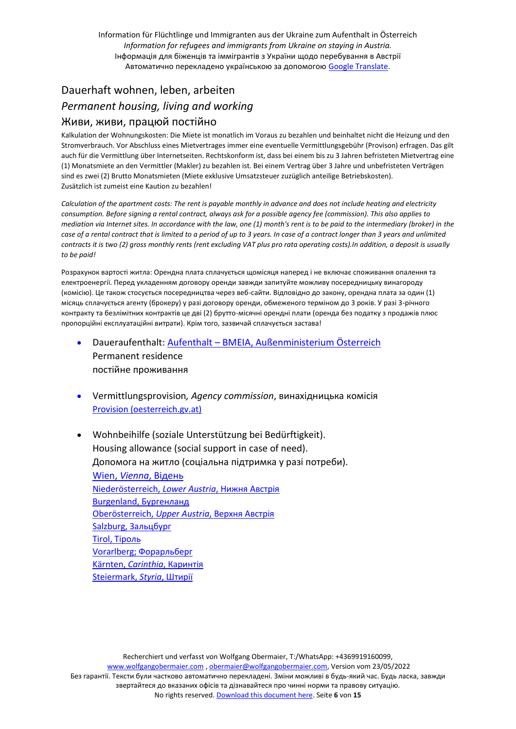## Dauerhaft wohnen, leben, arbeiten *Permanent housing, living and working* Живи, живи, працюй постійно

Kalkulation der Wohnungskosten: Die Miete ist monatlich im Voraus zu bezahlen und beinhaltet nicht die Heizung und den Stromverbrauch. Vor Abschluss eines Mietvertrages immer eine eventuelle Vermittlungsgebühr (Provison) erfragen. Das gilt auch für die Vermittlung über Internetseiten. Rechtskonform ist, dass bei einem bis zu 3 Jahren befristeten Mietvertrag eine (1) Monatsmiete an den Vermittler (Makler) zu bezahlen ist. Bei einem Vertrag über 3 Jahre und unbefristeten Verträgen sind es zwei (2) Brutto Monatsmieten (Miete exklusive Umsatzsteuer zuzüglich anteilige Betriebskosten). Zusätzlich ist zumeist eine Kaution zu bezahlen!

*Calculation of the apartment costs: The rent is payable monthly in advance and does not include heating and electricity consumption. Before signing a rental contract, always ask for a possible agency fee (commission). This also applies to mediation via Internet sites. In accordance with the law, one (1) month's rent is to be paid to the intermediary (broker) in the case of a rental contract that is limited to a period of up to 3 years. In case of a contract longer than 3 years and unlimited contracts it is two (2) gross monthly rents (rent excluding VAT plus pro rata operating costs).In addition, a deposit is usually to be paid!*

Розрахунок вартості житла: Орендна плата сплачується щомісяця наперед і не включає споживання опалення та електроенергії. Перед укладенням договору оренди завжди запитуйте можливу посередницьку винагороду (комісію). Це також стосується посередництва через веб-сайти. Відповідно до закону, орендна плата за один (1) місяць сплачується агенту (брокеру) у разі договору оренди, обмеженого терміном до 3 років. У разі 3-річного контракту та безлімітних контрактів це дві (2) брутто-місячні орендні плати (оренда без податку з продажів плюс пропорційні експлуатаційні витрати). Крім того, зазвичай сплачується застава!

- Daueraufenthalt: Aufenthalt [BMEIA, Außenministerium](https://www.bmeia.gv.at/reise-services/einreise-und-aufenthalt-in-oesterreich/einreise-und-aufenthalt/aufenthalt/) Österreich Permanent residence постійне проживання
- Vermittlungsprovision*, Agency commission*, винахідницька комісія [Provision \(oesterreich.gv.at\)](https://www.oesterreich.gv.at/themen/bauen_wohnen_und_umwelt/wohnen/3/1/Seite.210222.html)
- Wohnbeihilfe (soziale Unterstützung bei Bedürftigkeit). Housing allowance (social support in case of need). Допомога на житло (соціальна підтримка у разі потреби). Wien, *Vienna*, [Відень](https://www.wien.gv.at/amtshelfer/bauen-wohnen/wohnbaufoerderung/unterstuetzung/wohnbeihilfe-antrag.html) [Niederösterreich,](https://www.noe.gv.at/noe/Wohnen-Leben/Foerd_Wohnzuschuss_Wohnbeihilfe.html) *Lower Austria*, Нижня Австрія [Burgenland,](https://www.burgenland.at/themen/wohnen/wohnbeihilfe/) Бургенланд [Oberösterreich,](https://www.land-oberoesterreich.gv.at/wohnbeihilfe.htm) *Upper Austria*, Верхня Австрія Salzburg, [Зальцбург](https://www.salzburg.gv.at/themen/bauen-wohnen/wohnen/wohnbeihilfe/hilfe-wbh) Tirol, [Тіроль](https://www.tirol.gv.at/bauen-wohnen/wohnbaufoerderung/beihilfe/wohnbeihilfe/) Vorarlberg; [Форарльберг](https://vorarlberg.at/-/wohnbeihilfe) [Kärnten,](https://www.ktn.gv.at/Service/Formulare-und-Leistungen/BW-L58) *Carinthia*, Каринтія [Steiermark,](https://www.soziales.steiermark.at/cms/beitrag/10363956/5361/) *Styria*, Штирії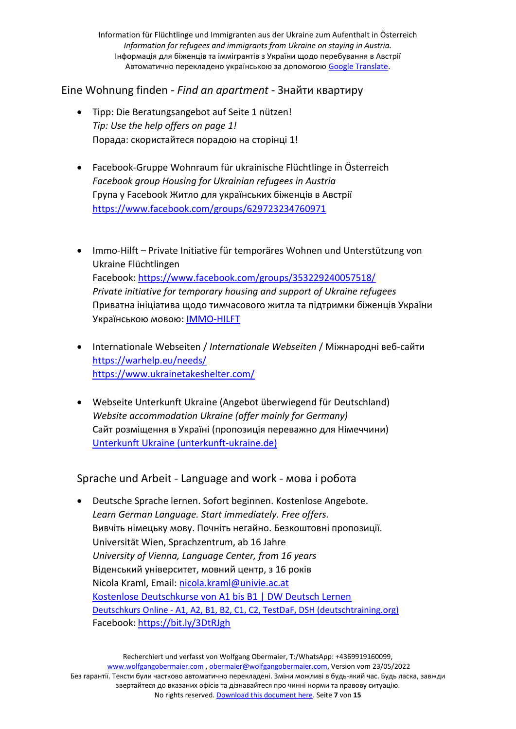## Eine Wohnung finden - *Find an apartment* - Знайти квартиру

- Tipp: Die Beratungsangebot auf Seite 1 nützen! *Tip: Use the help offers on page 1!* Порада: скористайтеся порадою на сторінці 1!
- Facebook-Gruppe Wohnraum für ukrainische Flüchtlinge in Österreich *Facebook group Housing for Ukrainian refugees in Austria* Група у Facebook Житло для українських біженців в Австрії <https://www.facebook.com/groups/629723234760971>
- Immo-Hilft Private Initiative für temporäres Wohnen und Unterstützung von Ukraine Flüchtlingen Facebook:<https://www.facebook.com/groups/353229240057518/> *Private initiative for temporary housing and support of Ukraine refugees* Приватна ініціатива щодо тимчасового житла та підтримки біженців України Українською мовою: [IMMO-HILFT](https://immo-hilft.at/help-info)
- Internationale Webseiten / *Internationale Webseiten* / Міжнародні веб-сайти <https://warhelp.eu/needs/> <https://www.ukrainetakeshelter.com/>
- Webseite Unterkunft Ukraine (Angebot überwiegend für Deutschland) *Website accommodation Ukraine (offer mainly for Germany)* Сайт розміщення в Україні (пропозиція переважно для Німеччини) [Unterkunft Ukraine \(unterkunft-ukraine.de\)](https://www.unterkunft-ukraine.de/request)

## Sprache und Arbeit - Language and work - мова і робота

• Deutsche Sprache lernen. Sofort beginnen. Kostenlose Angebote. *Learn German Language. Start immediately. Free offers.* Вивчіть німецьку мову. Почніть негайно. Безкоштовні пропозиції. Universität Wien, Sprachzentrum, ab 16 Jahre *University of Vienna, Language Center, from 16 years* Віденський університет, мовний центр, з 16 років Nicola Kraml, Email: [nicola.kraml@univie.ac.at](mailto:nicola.kraml@univie.ac.at) [Kostenlose Deutschkurse von A1 bis B1 | DW Deutsch Lernen](https://learngerman.dw.com/de/overview?fbclid=IwAR3pKbvJUxMhci0YQRHQO9KnFfIVnyLdJAM7RfnSPjZDTDu2OPkyymhvf_M) Deutschkurs Online - [A1, A2, B1, B2, C1, C2, TestDaF, DSH \(deutschtraining.org\)](https://deutschtraining.org/deutschkurs-online/) Facebook: <https://bit.ly/3DtRJgh>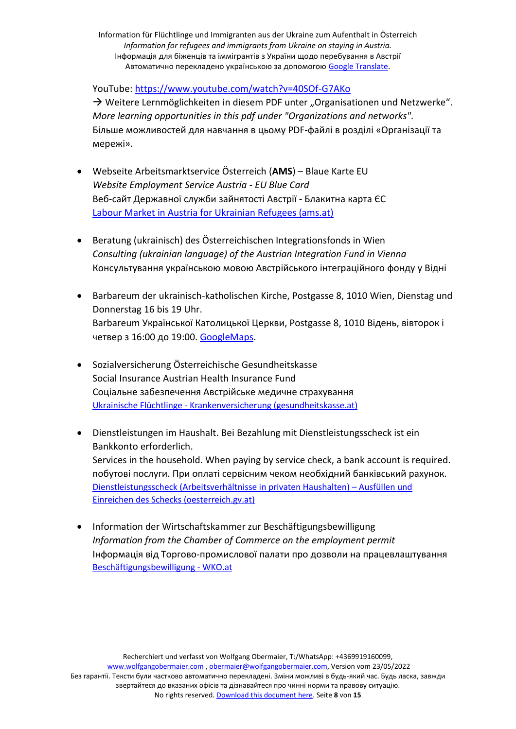YouTube:<https://www.youtube.com/watch?v=40SOf-G7AKo>

 $\rightarrow$  Weitere Lernmöglichkeiten in diesem PDF unter "Organisationen und Netzwerke". *More learning opportunities in this pdf under "Organizations and networks".* Більше можливостей для навчання в цьому PDF-файлі в розділі «Організації та мережі».

- Webseite Arbeitsmarktservice Österreich (**AMS**) Blaue Karte EU *Website Employment Service Austria - EU Blue Card* Веб-сайт Державної служби зайнятості Австрії - Блакитна карта ЄС [Labour Market in Austria for Ukrainian Refugees \(ams.at\)](https://www.ams.at/arbeitsuchende/arbeiten-in-oesterreich-und-der-eu/ukraine#wien)
- Beratung (ukrainisch) des Österreichischen Integrationsfonds in Wien *Consulting (ukrainian language) of the Austrian Integration Fund in Vienna* Консультування українською мовою Австрійського інтеграційного фонду у Відні
- Barbareum der ukrainisch-katholischen Kirche, Postgasse 8, 1010 Wien, Dienstag und Donnerstag 16 bis 19 Uhr. Barbareum Української Католицької Церкви, Postgasse 8, 1010 Відень, вівторок і четвер з 16:00 до 19:00. [GoogleMaps.](https://goo.gl/maps/39wAL5FRWKJTptoo8)
- Sozialversicherung Österreichische Gesundheitskasse Social Insurance Austrian Health Insurance Fund Соціальне забезпечення Австрійське медичне страхування Ukrainische Flüchtlinge - [Krankenversicherung \(gesundheitskasse.at\)](https://www.gesundheitskasse.at/cdscontent/?contentid=10007.884391)
- Dienstleistungen im Haushalt. Bei Bezahlung mit Dienstleistungsscheck ist ein Bankkonto erforderlich. Services in the household. When paying by service check, a bank account is required. побутові послуги. При оплаті сервісним чеком необхідний банківський рахунок. [Dienstleistungsscheck \(Arbeitsverhältnisse in privaten Haushalten\)](https://www.oesterreich.gv.at/themen/arbeit_und_pension/arten_von_beschaeftigung/1/Seite.2070072.html#Einr) – Ausfüllen und [Einreichen des Schecks \(oesterreich.gv.at\)](https://www.oesterreich.gv.at/themen/arbeit_und_pension/arten_von_beschaeftigung/1/Seite.2070072.html#Einr)
- Information der Wirtschaftskammer zur Beschäftigungsbewilligung *Information from the Chamber of Commerce on the employment permit* Інформація від Торгово-промислової палати про дозволи на працевлаштування [Beschäftigungsbewilligung -](https://www.wko.at/service/arbeitsrecht-sozialrecht/Beschaeftigungsbewilligung.html) WKO.at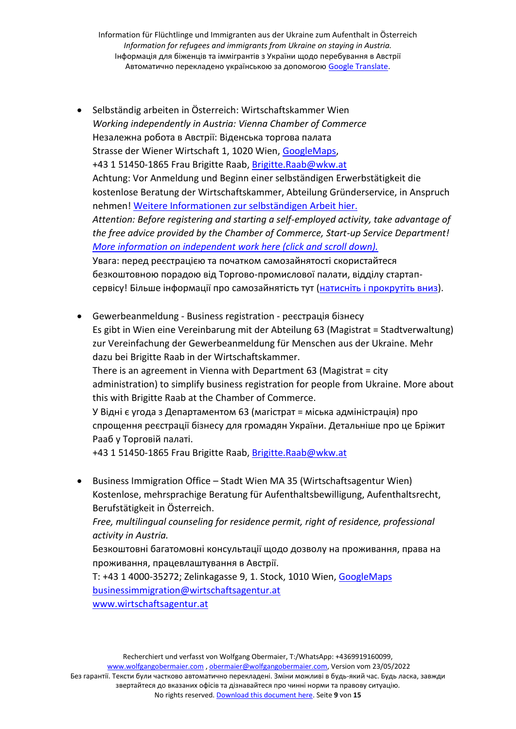- Selbständig arbeiten in Österreich: Wirtschaftskammer Wien *Working independently in Austria: Vienna Chamber of Commerce* Незалежна робота в Австрії: Віденська торгова палата Strasse der Wiener Wirtschaft 1, 1020 Wien, [GoogleMaps,](https://www.google.com/maps/place/Str.+der+Wiener+Wirtschaft+1,+1020+Wien/@48.2205265,16.3905246,17z/data=!3m1!4b1!4m5!3m4!1s0x476d07068306cfef:0x17341bbda9e40745!8m2!3d48.2205229!4d16.3927186) +43 1 51450-1865 Frau Brigitte Raab[, Brigitte.Raab@wkw.at](mailto:Brigitte.Raab@wkw.at) Achtung: Vor Anmeldung und Beginn einer selbständigen Erwerbstätigkeit die kostenlose Beratung der Wirtschaftskammer, Abteilung Gründerservice, in Anspruch nehmen! [Weitere Informationen zur selbständigen Arbeit hier.](https://www.wolfgangobermaier.com/ukraine) *Attention: Before registering and starting a self-employed activity, take advantage of the free advice provided by the Chamber of Commerce, Start-up Service Department! [More information on independent work here \(click and scroll down\).](https://www.wolfgangobermaier.com/ukraine)* Увага: перед реєстрацією та початком самозайнятості скористайтеся безкоштовною порадою від Торгово-промислової палати, відділу стартапсервісу! Більше інформації про самозайнятість тут [\(натисніть і прокрутіть вниз](https://www.wolfgangobermaier.com/ukraine)).
- Gewerbeanmeldung Business registration реєстрація бізнесу Es gibt in Wien eine Vereinbarung mit der Abteilung 63 (Magistrat = Stadtverwaltung) zur Vereinfachung der Gewerbeanmeldung für Menschen aus der Ukraine. Mehr dazu bei Brigitte Raab in der Wirtschaftskammer. There is an agreement in Vienna with Department 63 (Magistrat = city administration) to simplify business registration for people from Ukraine. More about this with Brigitte Raab at the Chamber of Commerce. У Відні є угода з Департаментом 63 (магістрат = міська адміністрація) про спрощення реєстрації бізнесу для громадян України. Детальніше про це Бріжит Рааб у Торговій палаті.

+43 1 51450-1865 Frau Brigitte Raab[, Brigitte.Raab@wkw.at](mailto:Brigitte.Raab@wkw.at)

• Business Immigration Office – Stadt Wien MA 35 (Wirtschaftsagentur Wien) Kostenlose, mehrsprachige Beratung für Aufenthaltsbewilligung, Aufenthaltsrecht, Berufstätigkeit in Österreich.

*Free, multilingual counseling for residence permit, right of residence, professional activity in Austria.*

Безкоштовні багатомовні консультації щодо дозволу на проживання, права на проживання, працевлаштування в Австрії.

T: +43 1 4000-35272; Zelinkagasse 9, 1. Stock, 1010 Wien, [GoogleMaps](https://www.google.com/maps/place/Zelinkagasse+9%2F1,+1010+Wien/@48.216509,16.3675827,17z/data=!3m1!4b1!4m5!3m4!1s0x476d07a4b060e17f:0x3f3057dd63a47667!8m2!3d48.2165054!4d16.3697767) [businessimmigration@wirtschaftsagentur.at](mailto:businessimmigration@wirtschaftsagentur.at) [www.wirtschaftsagentur.at](http://www.wirtschaftsagentur.at/)

Recherchiert und verfasst von Wolfgang Obermaier, T:/WhatsApp: +4369919160099, [www.wolfgangobermaier.com](http://www.wolfgangobermaier.com/) [, obermaier@wolfgangobermaier.com,](mailto:obermaier@wolfgangobermaier.com) Version vom 23/05/2022 Без гарантії. Тексти були частково автоматично перекладені. Зміни можливі в будь-який час. Будь ласка, завжди звертайтеся до вказаних офісів та дізнавайтеся про чинні норми та правову ситуацію. No rights reserved. [Download this document here.](https://www.wolfgangobermaier.com/ukraine) Seite **9** von **15**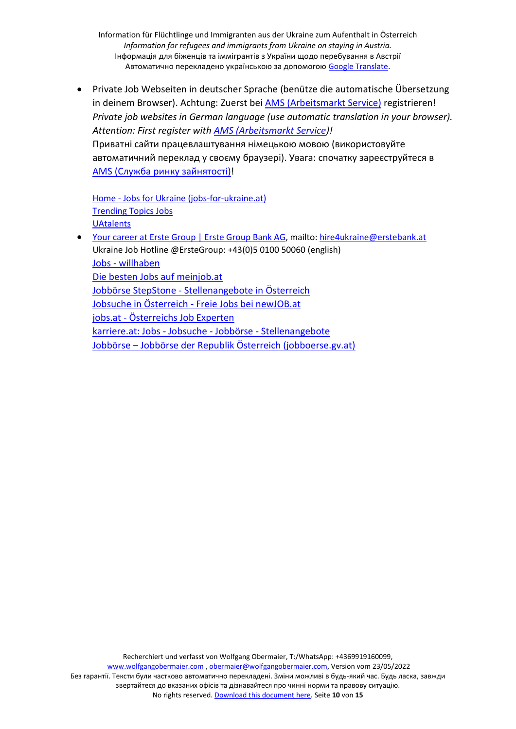• Private Job Webseiten in deutscher Sprache (benütze die automatische Übersetzung in deinem Browser). Achtung: Zuerst bei [AMS \(Arbeitsmarkt Service\)](https://www.ams.at/arbeitsuchende/arbeiten-in-oesterreich-und-der-eu/ukraine#--) registrieren! *Private job websites in German language (use automatic translation in your browser). Attention: First register with [AMS \(Arbeitsmarkt Service\)](https://www.ams.at/arbeitsuchende/arbeiten-in-oesterreich-und-der-eu/ukraine#--)!* Приватні сайти працевлаштування німецькою мовою (використовуйте автоматичний переклад у своєму браузері). Увага: спочатку зареєструйтеся в AMS (Служба ринку [зайнятості](https://www.ams.at/arbeitsuchende/arbeiten-in-oesterreich-und-der-eu/ukraine#--))!

Home - [Jobs for Ukraine \(jobs-for-ukraine.at\)](https://www.jobs-for-ukraine.at/) [Trending Topics Jobs](https://www.jobs.trendingtopics.eu/user/register/applicant) **[UAtalents](https://www.uatalents.com/)** 

• [Your career at Erste Group | Erste Group Bank AG,](https://www.erstegroup.com/en/career) mailto[: hire4ukraine@erstebank.at](mailto:hire4ukraine@erstebank.at) Ukraine Job Hotline @ErsteGroup: +43(0)5 0100 50060 (english) Jobs - [willhaben](https://www.willhaben.at/jobs/?fbclid=IwAR32cP98yYj0Ul0FOV-g-wpK6CTZGya9ZlAs0JelZdJGcYutrEKcZIsGZD0) [Die besten Jobs auf meinjob.at](https://meinjob.at/) Jobbörse StepStone - [Stellenangebote in Österreich](https://www.stepstone.at/) Jobsuche in Österreich - [Freie Jobs bei newJOB.at](https://www.newjob.at/) jobs.at - [Österreichs Job Experten](https://www.jobs.at/) [karriere.at: Jobs -](https://www.karriere.at/) Jobsuche - Jobbörse - Stellenangebote Jobbörse – [Jobbörse der Republik Österreich \(jobboerse.gv.at\)](https://www.jobboerse.gv.at/)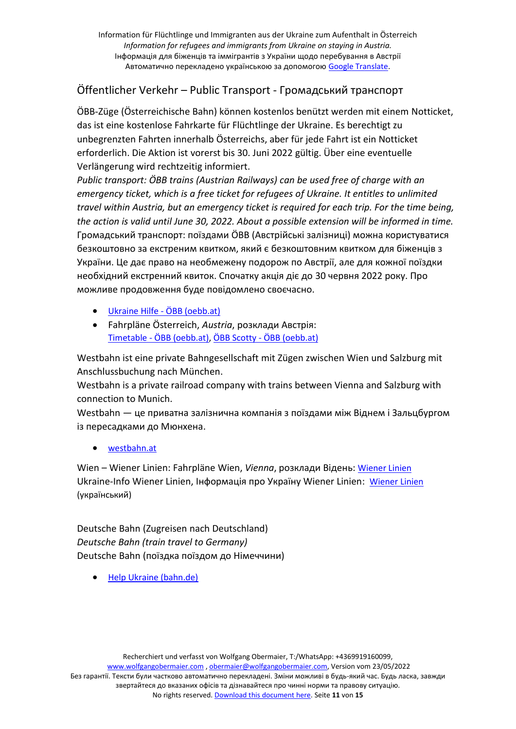## Öffentlicher Verkehr – Public Transport - Громадський транспорт

ÖBB-Züge (Österreichische Bahn) können kostenlos benützt werden mit einem Notticket, das ist eine kostenlose Fahrkarte für Flüchtlinge der Ukraine. Es berechtigt zu unbegrenzten Fahrten innerhalb Österreichs, aber für jede Fahrt ist ein Notticket erforderlich. Die Aktion ist vorerst bis 30. Juni 2022 gültig. Über eine eventuelle Verlängerung wird rechtzeitig informiert.

*Public transport: ÖBB trains (Austrian Railways) can be used free of charge with an emergency ticket, which is a free ticket for refugees of Ukraine. It entitles to unlimited travel within Austria, but an emergency ticket is required for each trip. For the time being, the action is valid until June 30, 2022. About a possible extension will be informed in time.* Громадський транспорт: поїздами ÖBB (Австрійські залізниці) можна користуватися безкоштовно за екстреним квитком, який є безкоштовним квитком для біженців з України. Це дає право на необмежену подорож по Австрії, але для кожної поїздки необхідний екстренний квиток. Спочатку акція діє до 30 червня 2022 року. Про можливе продовження буде повідомлено своєчасно.

- [Ukraine Hilfe -](https://www.oebb.at/de/neuigkeiten/ukraine-hilfe) ÖBB (oebb.at)
- Fahrpläne Österreich, *Austria*, розклади Австрія: Timetable - [ÖBB \(oebb.at\),](https://www.oebb.at/en/fahrplan) ÖBB Scotty - [ÖBB \(oebb.at\)](https://www.oebb.at/en/fahrplan/fahrplanauskunft/scottymobil)

Westbahn ist eine private Bahngesellschaft mit Zügen zwischen Wien und Salzburg mit Anschlussbuchung nach München.

Westbahn is a private railroad company with trains between Vienna and Salzburg with connection to Munich.

Westbahn — це приватна залізнична компанія з поїздами між Віднем і Зальцбургом із пересадками до Мюнхена.

• [westbahn.at](https://westbahn.at/en/)

Wien – Wiener Linien: Fahrpläne Wien, *Vienna*, розклади Відень: [Wiener Linien](https://www.wienerlinien.at/) Ukraine-Info Wiener Linien, Інформація про Україну Wiener Linien: [Wiener Linien](https://www.wienerlinien.at/unterst%C3%BCtzung-f%C3%BCr-menschen-die-aus-der-ukraine-gefl%C3%BCchtet-sind) (український)

Deutsche Bahn (Zugreisen nach Deutschland) *Deutsche Bahn (train travel to Germany)* Deutsche Bahn (поїздка поїздом до Німеччини)

• [Help Ukraine \(bahn.de\)](https://www.bahn.de/info/helpukraine)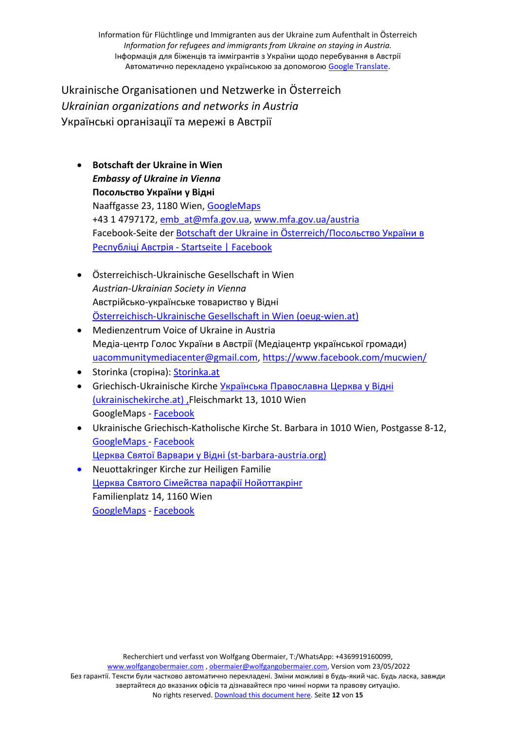Ukrainische Organisationen und Netzwerke in Österreich *Ukrainian organizations and networks in Austria* Українські організації та мережі в Австрії

- **Botschaft der Ukraine in Wien** *Embassy of Ukraine in Vienna* **Посольство України у Відні** Naaffgasse 23, 1180 Wien, [GoogleMaps](https://goo.gl/maps/DiAShYaNiGF4RFaz5) +43 1 4797172, [emb\\_at@mfa.gov.ua,](mailto:emb_at@mfa.gov.ua) [www.mfa.gov.ua/austria](http://www.mfa.gov.ua/austria) Facebook-Seite der [Botschaft der Ukraine in Österreich/](https://www.facebook.com/ukremb.at/)Посольство України в Республіці Австрія - [Startseite | Facebook](https://www.facebook.com/ukremb.at/)
- Österreichisch-Ukrainische Gesellschaft in Wien *Austrian-Ukrainian Society in Vienna* Австрійсько-українське товариство у Відні [Österreichisch-Ukrainische Gesellschaft in Wien \(oeug-wien.at\)](http://www.oeug-wien.at/?fbclid=IwAR28mvy1gItIRchUoMFc6v1bKzLTp0tIYWUXOGkSec51T0Z1SQWi2D1qFTA)
- [Medienzentrum Voice of Ukraine in Austria](asdcas) Медіа-центр Голос України в Австрії (Медіацентр української громади) [uacommunitymediacenter@gmail.com,](mailto:uacommunitymediacenter@gmail.com)<https://www.facebook.com/mucwien/>
- Storinka (сторіна): [Storinka.at](https://storinka.at/)
- Griechisch-Ukrainische Kirche Українська [Православна](https://www.ukrainischekirche.at/) Церква у Відні [\(ukrainischekirche.at\)](https://www.ukrainischekirche.at/) ,Fleischmarkt 13, 1010 Wien GoogleMaps - [Facebook](https://www.facebook.com/Provisnyk/)
- Ukrainische Griechisch-Katholische Kirche St. Barbara in 1010 Wien, Postgasse 8-12, [GoogleMaps](https://goo.gl/maps/fgUS8Yuwa4bWU72J7) - [Facebook](https://www.facebook.com/cerkvaVarvary/) Церква Святої Варвари у Відні [\(st-barbara-austria.org\)](https://st-barbara-austria.org/uk/)
- Neuottakringer Kirche zur Heiligen Familie Церква Святого Сімейства парафії Нойоттакрінг Familienplatz 14, 1160 Wien [GoogleMaps](https://goo.gl/maps/DnJU4bCM3R9VfZUaA) - [Facebook](https://www.facebook.com/%D0%A6%D0%B5%D1%80%D0%BA%D0%B2%D0%B0-%D0%9F%D1%80%D0%B5%D1%81%D0%B2%D1%8F%D1%82%D0%BE%D1%97-%D0%A0%D0%BE%D0%B4%D0%B8%D0%BD%D0%B8-%D0%BF%D0%B0%D1%80%D0%B0%D1%84%D1%96%D1%97-%D0%9D%D0%BE%D0%B9%D0%BE%D1%82%D1%82%D0%B0%D0%BA%D1%80%D1%96%D0%BD%D2%91-101273314966496/)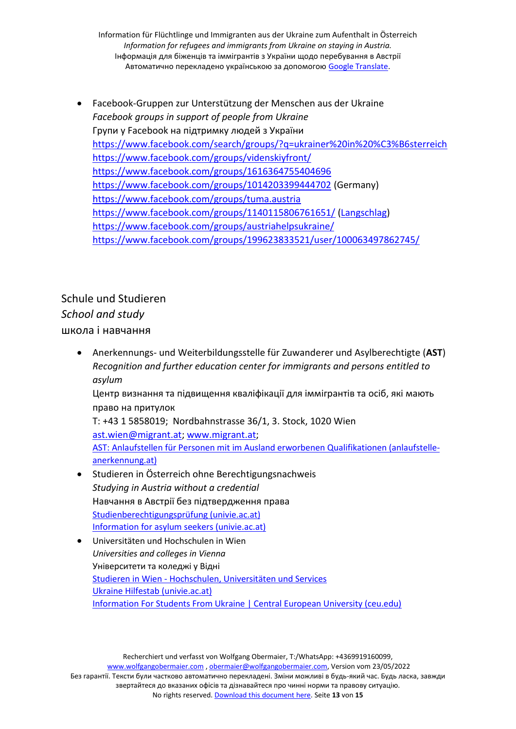• Facebook-Gruppen zur Unterstützung der Menschen aus der Ukraine *Facebook groups in support of people from Ukraine* Групи у Facebook на підтримку людей з України https://www.facebook.com/search/groups/?q=ukrainer%20in%20%C3%B6sterreich https://www.facebook.com/groups/videnskiyfront/ https://www.facebook.com/groups/1616364755404696 https://www.facebook.com/groups/1014203399444702 (Germany) https://www.facebook.com/groups/tuma.austria https://www.facebook.com/groups/1140115806761651/ (Langschlag) https://www.facebook.com/groups/austriahelpsukraine/ https://www.facebook.com/groups/199623833521/user/100063497862745/

Schule und Studieren *School and study* школа і навчання

> • Anerkennungs- und Weiterbildungsstelle für Zuwanderer und Asylberechtigte (**AST**) *Recognition and further education center for immigrants and persons entitled to asylum*

Центр визнання та підвищення кваліфікації для іммігрантів та осіб, які мають право на притулок

T: +43 1 5858019; Nordbahnstrasse 36/1, 3. Stock, 1020 Wien ast.wien@migrant.at; www.migrant.at; AST: Anlaufstellen für Personen mit im Ausland erworbenen Qualifikationen (anlaufstelleanerkennung.at)

- Studieren in Österreich ohne Berechtigungsnachweis *Studying in Austria without a credential* Навчання в Австрії без підтвердження права Studienberechtigungsprüfung (univie.ac.at) Information for asylum seekers (univie.ac.at)
- Universitäten und Hochschulen in Wien *Universities and colleges in Vienna* Університети та коледжі у Відні Studieren in Wien - Hochschulen, Universitäten und Services Ukraine Hilfestab (univie.ac.at) Information For Students From Ukraine | Central European University (ceu.edu)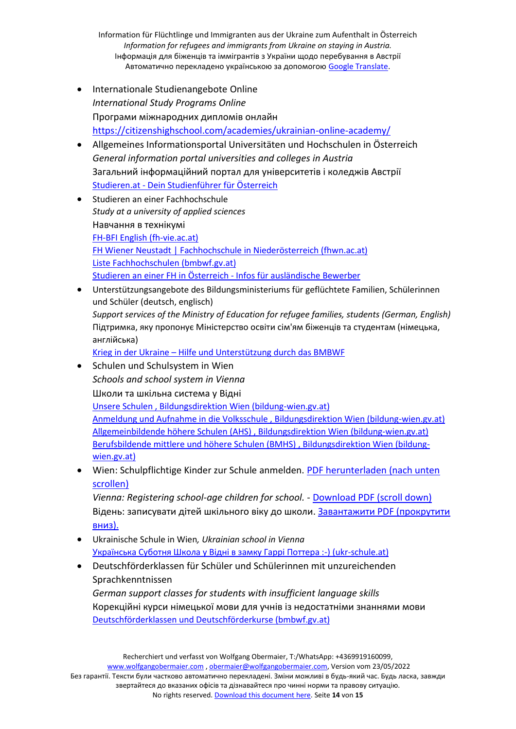- Internationale Studienangebote Online *International Study Programs Online* Програми міжнародних дипломів онлайн https://citizenshighschool.com/academies/ukrainian-online-academy/
- Allgemeines Informationsportal Universitäten und Hochschulen in Österreich *General information portal universities and colleges in Austria* Загальний інформаційний портал для університетів і коледжів Австрії Studieren.at - Dein Studienführer für Österreich
- Studieren an einer Fachhochschule *Study at a university of applied sciences* Навчання в технікумі FH-BFI English (fh-vie.ac.at) FH Wiener Neustadt | Fachhochschule in Niederösterreich (fhwn.ac.at) Liste Fachhochschulen (bmbwf.gv.at) Studieren an einer FH in Österreich - Infos für ausländische Bewerber
- Unterstützungsangebote des Bildungsministeriums für geflüchtete Familien, Schülerinnen und Schüler (deutsch, englisch) *Support services of the Ministry of Education for refugee families, students (German, English)* Підтримка, яку пропонує Міністерство освіти сім'ям біженців та студентам (німецька, англійська) Krieg in der Ukraine – Hilfe und Unterstützung durch das BMBWF
- Schulen und Schulsystem in Wien *Schools and school system in Vienna* Школи та шкільна система у Відні Unsere Schulen , Bildungsdirektion Wien (bildung-wien.gv.at) Anmeldung und Aufnahme in die Volksschule , Bildungsdirektion Wien (bildung-wien.gv.at) Allgemeinbildende höhere Schulen (AHS) , Bildungsdirektion Wien (bildung-wien.gv.at) Berufsbildende mittlere und höhere Schulen (BMHS) , Bildungsdirektion Wien (bildungwien.gv.at)
- Wien: Schulpflichtige Kinder zur Schule anmelden. PDF herunterladen (nach unten scrollen)

*Vienna: Registering school-age children for school.* - Download PDF (scroll down) Відень: записувати дітей шкільного віку до школи. Завантажити PDF (прокрутити вниз).

- Ukrainische Schule in Wien*, Ukrainian school in Vienna* Українська Суботня Школа у Відні в замку Гаррі Поттера :-) (ukr-schule.at)
- Deutschförderklassen für Schüler und Schülerinnen mit unzureichenden Sprachkenntnissen

*German support classes for students with insufficient language skills* Корекційні курси німецької мови для учнів із недостатніми знаннями мови Deutschförderklassen und Deutschförderkurse (bmbwf.gv.at)